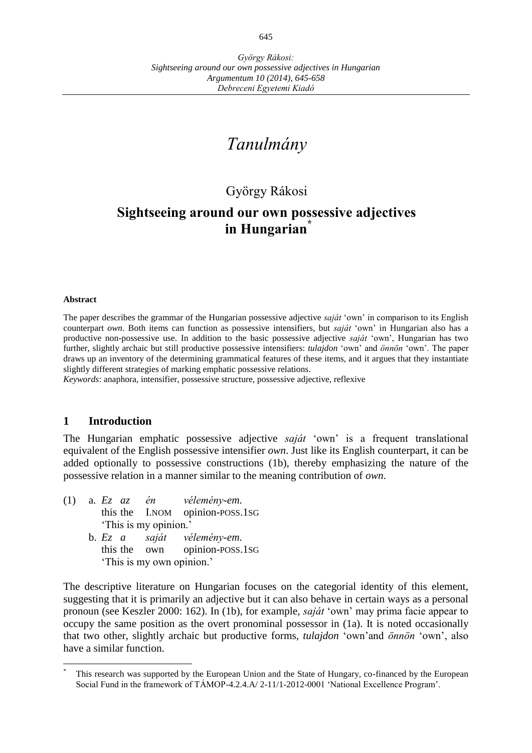# *Tanulmány*

## György Rákosi

## **Sightseeing around our own possessive adjectives in Hungarian\***

#### **Abstract**

 $\overline{a}$ 

The paper describes the grammar of the Hungarian possessive adjective *saját* 'own' in comparison to its English counterpart *own*. Both items can function as possessive intensifiers, but *saját* 'own' in Hungarian also has a productive non-possessive use. In addition to the basic possessive adjective *saját* 'own', Hungarian has two further, slightly archaic but still productive possessive intensifiers: *tulajdon* 'own' and *önnön* 'own'. The paper draws up an inventory of the determining grammatical features of these items, and it argues that they instantiate slightly different strategies of marking emphatic possessive relations.

*Keywords*: anaphora, intensifier, possessive structure, possessive adjective, reflexive

#### **1 Introduction**

The Hungarian emphatic possessive adjective *saját* 'own' is a frequent translational equivalent of the English possessive intensifier *own*. Just like its English counterpart, it can be added optionally to possessive constructions (1b), thereby emphasizing the nature of the possessive relation in a manner similar to the meaning contribution of *own*.

- (1) a. *Ez az én vélemény-em*. this the I.NOM opinion-POSS.1SG 'This is my opinion.' b. *Ez a saját vélemény-em*.
	- this the own opinion-POSS.1SG 'This is my own opinion.'

The descriptive literature on Hungarian focuses on the categorial identity of this element, suggesting that it is primarily an adjective but it can also behave in certain ways as a personal pronoun (see Keszler 2000: 162). In (1b), for example, *saját* 'own' may prima facie appear to occupy the same position as the overt pronominal possessor in (1a). It is noted occasionally that two other, slightly archaic but productive forms, *tulajdon* 'own'and *önnön* 'own', also have a similar function.

This research was supported by the European Union and the State of Hungary, co-financed by the European Social Fund in the framework of TÁMOP-4.2.4.A/ 2-11/1-2012-0001 'National Excellence Program'.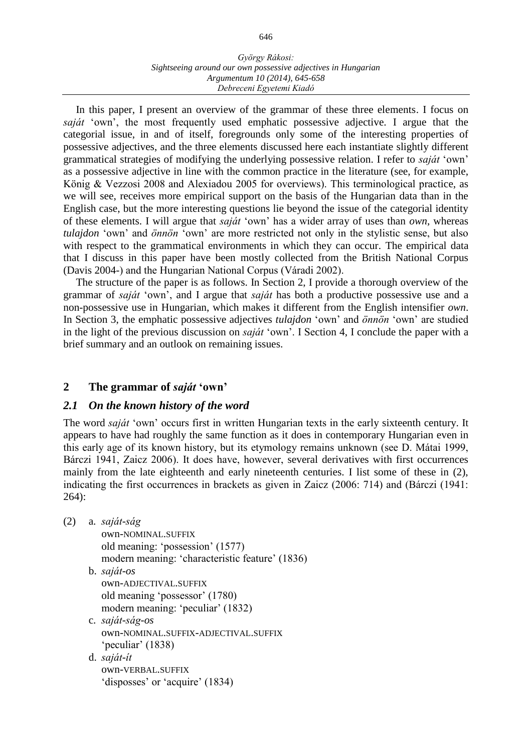#### *György Rákosi: Sightseeing around our own possessive adjectives in Hungarian Argumentum 10 (2014), 645-658 Debreceni Egyetemi Kiadó*

In this paper, I present an overview of the grammar of these three elements. I focus on *saját* 'own', the most frequently used emphatic possessive adjective. I argue that the categorial issue, in and of itself, foregrounds only some of the interesting properties of possessive adjectives, and the three elements discussed here each instantiate slightly different grammatical strategies of modifying the underlying possessive relation. I refer to *saját* 'own' as a possessive adjective in line with the common practice in the literature (see, for example, König & Vezzosi 2008 and Alexiadou 2005 for overviews). This terminological practice, as we will see, receives more empirical support on the basis of the Hungarian data than in the English case, but the more interesting questions lie beyond the issue of the categorial identity of these elements. I will argue that *saját* 'own' has a wider array of uses than *own*, whereas *tulajdon* 'own' and *önnön* 'own' are more restricted not only in the stylistic sense, but also with respect to the grammatical environments in which they can occur. The empirical data that I discuss in this paper have been mostly collected from the British National Corpus (Davis 2004-) and the Hungarian National Corpus (Váradi 2002).

The structure of the paper is as follows. In Section 2, I provide a thorough overview of the grammar of *saját* 'own', and I argue that *saját* has both a productive possessive use and a non-possessive use in Hungarian, which makes it different from the English intensifier *own*. In Section 3, the emphatic possessive adjectives *tulajdon* 'own' and *önnön* 'own' are studied in the light of the previous discussion on *saját* 'own'. I Section 4, I conclude the paper with a brief summary and an outlook on remaining issues.

## **2 The grammar of** *saját* **'own'**

## *2.1 On the known history of the word*

The word *saját* 'own' occurs first in written Hungarian texts in the early sixteenth century. It appears to have had roughly the same function as it does in contemporary Hungarian even in this early age of its known history, but its etymology remains unknown (see D. Mátai 1999, Bárczi 1941, Zaicz 2006). It does have, however, several derivatives with first occurrences mainly from the late eighteenth and early nineteenth centuries. I list some of these in (2), indicating the first occurrences in brackets as given in Zaicz (2006: 714) and (Bárczi (1941: 264):

- (2) a. *saját-ság*
	- own-NOMINAL.SUFFIX old meaning: 'possession' (1577) modern meaning: 'characteristic feature' (1836)
	- b. *saját-os* own-ADJECTIVAL.SUFFIX
		- old meaning 'possessor' (1780) modern meaning: 'peculiar' (1832)
	- c. *saját-ság-os* own-NOMINAL.SUFFIX-ADJECTIVAL.SUFFIX 'peculiar' (1838)
	- d. *saját-ít* own-VERBAL.SUFFIX 'disposses' or 'acquire' (1834)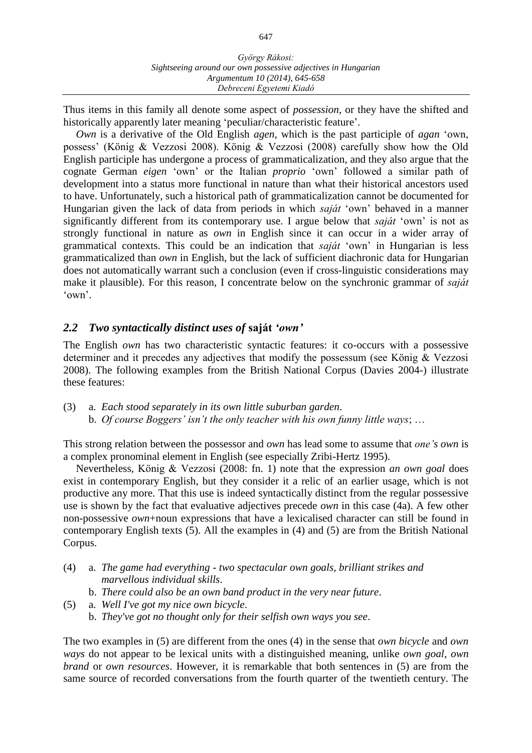Thus items in this family all denote some aspect of *possession*, or they have the shifted and historically apparently later meaning 'peculiar/characteristic feature'.

*Own* is a derivative of the Old English *agen*, which is the past participle of *agan* 'own, possess' (König & Vezzosi 2008). König & Vezzosi (2008) carefully show how the Old English participle has undergone a process of grammaticalization, and they also argue that the cognate German *eigen* 'own' or the Italian *proprio* 'own' followed a similar path of development into a status more functional in nature than what their historical ancestors used to have. Unfortunately, such a historical path of grammaticalization cannot be documented for Hungarian given the lack of data from periods in which *saját* 'own' behaved in a manner significantly different from its contemporary use. I argue below that *saját* 'own' is not as strongly functional in nature as *own* in English since it can occur in a wider array of grammatical contexts. This could be an indication that *saját* 'own' in Hungarian is less grammaticalized than *own* in English, but the lack of sufficient diachronic data for Hungarian does not automatically warrant such a conclusion (even if cross-linguistic considerations may make it plausible). For this reason, I concentrate below on the synchronic grammar of *saját* 'own'.

#### *2.2 Two syntactically distinct uses of* **saját** *'own'*

The English *own* has two characteristic syntactic features: it co-occurs with a possessive determiner and it precedes any adjectives that modify the possessum (see König & Vezzosi 2008). The following examples from the British National Corpus (Davies 2004-) illustrate these features:

(3) a. *Each stood separately in its own little suburban garden*. b. *Of course Boggers' isn't the only teacher with his own funny little ways*; …

This strong relation between the possessor and *own* has lead some to assume that *one's own* is a complex pronominal element in English (see especially Zribi-Hertz 1995).

Nevertheless, König & Vezzosi (2008: fn. 1) note that the expression *an own goal* does exist in contemporary English, but they consider it a relic of an earlier usage, which is not productive any more. That this use is indeed syntactically distinct from the regular possessive use is shown by the fact that evaluative adjectives precede *own* in this case (4a). A few other non-possessive *own*+noun expressions that have a lexicalised character can still be found in contemporary English texts (5). All the examples in (4) and (5) are from the British National Corpus.

- (4) a. *The game had everything - two spectacular own goals, brilliant strikes and marvellous individual skills*.
	- b. *There could also be an own band product in the very near future*.
- (5) a. *Well I've got my nice own bicycle*.
	- b. *They've got no thought only for their selfish own ways you see*.

The two examples in (5) are different from the ones (4) in the sense that *own bicycle* and *own ways* do not appear to be lexical units with a distinguished meaning, unlike *own goal*, *own brand* or *own resources*. However, it is remarkable that both sentences in (5) are from the same source of recorded conversations from the fourth quarter of the twentieth century. The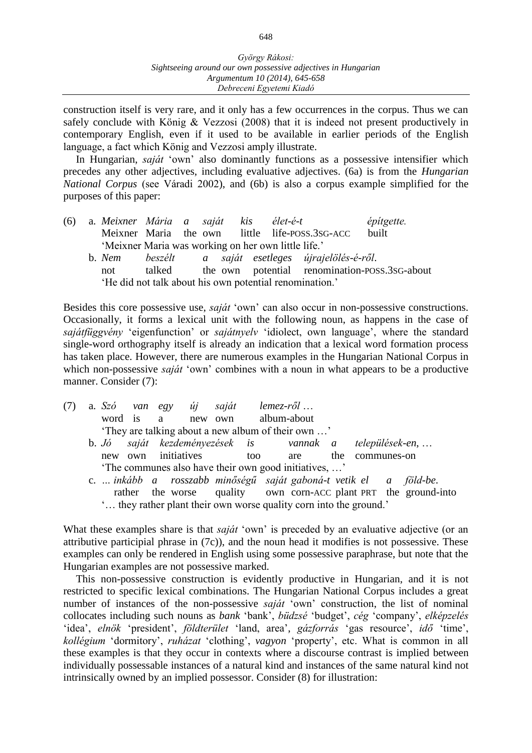construction itself is very rare, and it only has a few occurrences in the corpus. Thus we can safely conclude with König & Vezzosi (2008) that it is indeed not present productively in contemporary English, even if it used to be available in earlier periods of the English language, a fact which König and Vezzosi amply illustrate.

In Hungarian, *saját* 'own' also dominantly functions as a possessive intensifier which precedes any other adjectives, including evaluative adjectives. (6a) is from the *Hungarian National Corpus* (see Váradi 2002), and (6b) is also a corpus example simplified for the purposes of this paper:

(6) a. *Meixner Mária a saját kis élet-é-t építgette.* Meixner Maria the own little life-POSS.3SG-ACC built 'Meixner Maria was working on her own little life.' b. *Nem beszélt a saját esetleges újrajelölés-é-ről*. not talked the own potential renomination-POSS.3SG-about 'He did not talk about his own potential renomination.'

Besides this core possessive use, *saját* 'own' can also occur in non-possessive constructions. Occasionally, it forms a lexical unit with the following noun, as happens in the case of *sajátfüggvény* 'eigenfunction' or *sajátnyelv* 'idiolect, own language', where the standard single-word orthography itself is already an indication that a lexical word formation process has taken place. However, there are numerous examples in the Hungarian National Corpus in which non-possessive *saját* 'own' combines with a noun in what appears to be a productive manner. Consider (7):

| (7) |                                                    |  |                 |  | a. Szó van egy új saját lemez-ről |      |  |                                                                    |  |                 |  |                                                                 |  |
|-----|----------------------------------------------------|--|-----------------|--|-----------------------------------|------|--|--------------------------------------------------------------------|--|-----------------|--|-----------------------------------------------------------------|--|
|     |                                                    |  |                 |  | word is a new own album-about     |      |  |                                                                    |  |                 |  |                                                                 |  |
|     | 'They are talking about a new album of their own ' |  |                 |  |                                   |      |  |                                                                    |  |                 |  |                                                                 |  |
|     |                                                    |  |                 |  |                                   |      |  | b. Jó saját kezdeményezések is vannak a települések-en,            |  |                 |  |                                                                 |  |
|     | new                                                |  | own initiatives |  |                                   | too. |  | are are                                                            |  | the communes-on |  |                                                                 |  |
|     |                                                    |  |                 |  |                                   |      |  | The communes also have their own good initiatives, '               |  |                 |  |                                                                 |  |
|     |                                                    |  |                 |  |                                   |      |  | c.  inkább a rosszabb minőségű saját gaboná-t vetik el a föld-be.  |  |                 |  |                                                                 |  |
|     |                                                    |  |                 |  |                                   |      |  |                                                                    |  |                 |  | rather the worse quality own corn-ACC plant PRT the ground-into |  |
|     |                                                    |  |                 |  |                                   |      |  | ' they rather plant their own worse quality corn into the ground.' |  |                 |  |                                                                 |  |

What these examples share is that *saját* 'own' is preceded by an evaluative adjective (or an attributive participial phrase in (7c)), and the noun head it modifies is not possessive. These examples can only be rendered in English using some possessive paraphrase, but note that the Hungarian examples are not possessive marked.

This non-possessive construction is evidently productive in Hungarian, and it is not restricted to specific lexical combinations. The Hungarian National Corpus includes a great number of instances of the non-possessive *saját* 'own' construction, the list of nominal collocates including such nouns as *bank* 'bank', *büdzsé* 'budget', *cég* 'company', *elképzelés* 'idea', *elnök* 'president', *földterület* 'land, area', *gázforrás* 'gas resource', *idő* 'time', *kollégium* 'dormitory', *ruházat* 'clothing', *vagyon* 'property', etc. What is common in all these examples is that they occur in contexts where a discourse contrast is implied between individually possessable instances of a natural kind and instances of the same natural kind not intrinsically owned by an implied possessor. Consider (8) for illustration: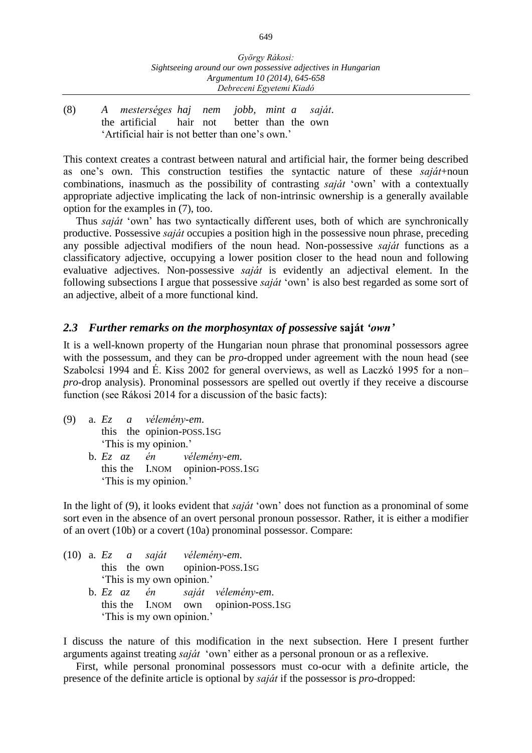(8) *A mesterséges haj nem jobb, mint a saját*. the artificial hair not better than the own 'Artificial hair is not better than one's own.'

This context creates a contrast between natural and artificial hair, the former being described as one's own. This construction testifies the syntactic nature of these *saját*+noun combinations, inasmuch as the possibility of contrasting *saját* 'own' with a contextually appropriate adjective implicating the lack of non-intrinsic ownership is a generally available option for the examples in (7), too.

Thus *saját* 'own' has two syntactically different uses, both of which are synchronically productive. Possessive *saját* occupies a position high in the possessive noun phrase, preceding any possible adjectival modifiers of the noun head. Non-possessive *saját* functions as a classificatory adjective, occupying a lower position closer to the head noun and following evaluative adjectives. Non-possessive *saját* is evidently an adjectival element. In the following subsections I argue that possessive *saját* 'own' is also best regarded as some sort of an adjective, albeit of a more functional kind.

### *2.3 Further remarks on the morphosyntax of possessive* **saját** *'own'*

It is a well-known property of the Hungarian noun phrase that pronominal possessors agree with the possessum, and they can be *pro*-dropped under agreement with the noun head (see Szabolcsi 1994 and É. Kiss 2002 for general overviews, as well as Laczkó 1995 for a non– *pro-*drop analysis). Pronominal possessors are spelled out overtly if they receive a discourse function (see Rákosi 2014 for a discussion of the basic facts):

- (9) a. *Ez a vélemény-em*. this the opinion-POSS.1SG
	- This is my opinion.'<br>b.  $E_z$  az én vé b. *Ez az én vélemény-em*. this the I.NOM opinion-POSS.1SG 'This is my opinion.'

In the light of (9), it looks evident that *saját* 'own' does not function as a pronominal of some sort even in the absence of an overt personal pronoun possessor. Rather, it is either a modifier of an overt (10b) or a covert (10a) pronominal possessor. Compare:

|  |  |                           | $(10)$ a. Ez a saját vélemény-em. |                                     |  |
|--|--|---------------------------|-----------------------------------|-------------------------------------|--|
|  |  |                           |                                   | this the own opinion-poss.1sG       |  |
|  |  | 'This is my own opinion.' |                                   |                                     |  |
|  |  |                           |                                   | b. Ez az én saját vélemény-em.      |  |
|  |  |                           |                                   | this the I.NOM own opinion-POSS.1SG |  |
|  |  | 'This is my own opinion.' |                                   |                                     |  |

I discuss the nature of this modification in the next subsection. Here I present further arguments against treating *saját* 'own' either as a personal pronoun or as a reflexive.

First, while personal pronominal possessors must co-ocur with a definite article, the presence of the definite article is optional by *saját* if the possessor is *pro*-dropped: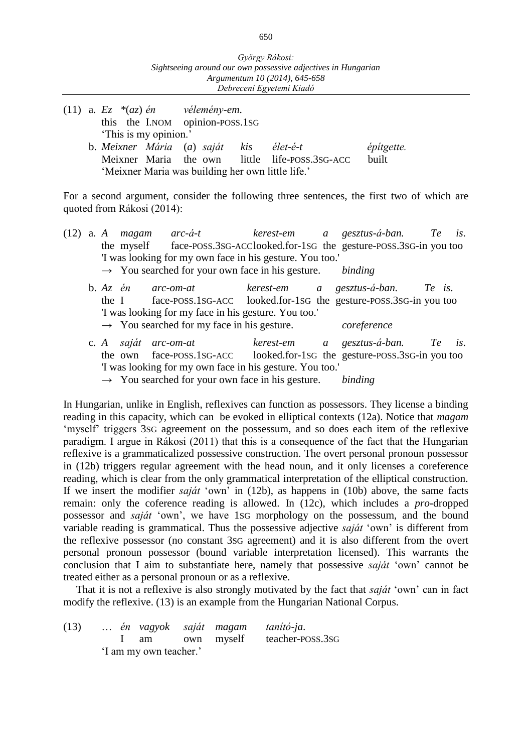(11) a. *Ez \**(*az*) *én vélemény-em*. this the I.NOM opinion-POSS.1SG 'This is my opinion.' b. *Meixner Mária* (*a*) *saját kis élet-é-t építgette.* Meixner Maria the own little life-POSS.3SG-ACC built 'Meixner Maria was building her own little life.'

For a second argument, consider the following three sentences, the first two of which are quoted from Rákosi (2014):

|  |  |  | (12) a. A magam arc-á-t kerest-em a gesztus-á-ban. Te is.                   |         |                                   |  |
|--|--|--|-----------------------------------------------------------------------------|---------|-----------------------------------|--|
|  |  |  | the myself face-POSS.3SG-ACClooked.for-1sG the gesture-POSS.3SG-in you too  |         |                                   |  |
|  |  |  | 'I was looking for my own face in his gesture. You too.'                    |         |                                   |  |
|  |  |  | $\rightarrow$ You searched for your own face in his gesture. <i>binding</i> |         |                                   |  |
|  |  |  | b. $Az$ én arc-om-at                                                        |         | kerest-em a gesztus-á-ban. Te is. |  |
|  |  |  | the I face-POSS.1SG-ACC looked.for-1SG the gesture-POSS.3SG-in you too      |         |                                   |  |
|  |  |  | 'I was looking for my face in his gesture. You too.'                        |         |                                   |  |
|  |  |  | $\rightarrow$ You searched for my face in his gesture.                      |         | coreference                       |  |
|  |  |  | c. A saját arc-om-at                                                        |         | kerest-em a gesztus-á-ban. Te is. |  |
|  |  |  | the own face-poss.1sG-ACC looked.for-1sG the gesture-poss.3sG-in you too    |         |                                   |  |
|  |  |  | 'I was looking for my own face in his gesture. You too.'                    |         |                                   |  |
|  |  |  | $\rightarrow$ You searched for your own face in his gesture.                | binding |                                   |  |

In Hungarian, unlike in English, reflexives can function as possessors. They license a binding reading in this capacity, which can be evoked in elliptical contexts (12a). Notice that *magam* 'myself' triggers 3SG agreement on the possessum, and so does each item of the reflexive paradigm. I argue in Rákosi (2011) that this is a consequence of the fact that the Hungarian reflexive is a grammaticalized possessive construction. The overt personal pronoun possessor in (12b) triggers regular agreement with the head noun, and it only licenses a coreference reading, which is clear from the only grammatical interpretation of the elliptical construction. If we insert the modifier *saját* 'own' in (12b), as happens in (10b) above, the same facts remain: only the coference reading is allowed. In (12c), which includes a *pro*-dropped possessor and *saját* 'own', we have 1SG morphology on the possessum, and the bound variable reading is grammatical. Thus the possessive adjective *saját* 'own' is different from the reflexive possessor (no constant 3SG agreement) and it is also different from the overt personal pronoun possessor (bound variable interpretation licensed). This warrants the conclusion that I aim to substantiate here, namely that possessive *saját* 'own' cannot be treated either as a personal pronoun or as a reflexive.

That it is not a reflexive is also strongly motivated by the fact that *saját* 'own' can in fact modify the reflexive. (13) is an example from the Hungarian National Corpus.

| (13) |  |                        |  | én vagyok saját magam tanító-ja. |
|------|--|------------------------|--|----------------------------------|
|      |  |                        |  | I am own myself teacher-poss.3sG |
|      |  | 'I am my own teacher.' |  |                                  |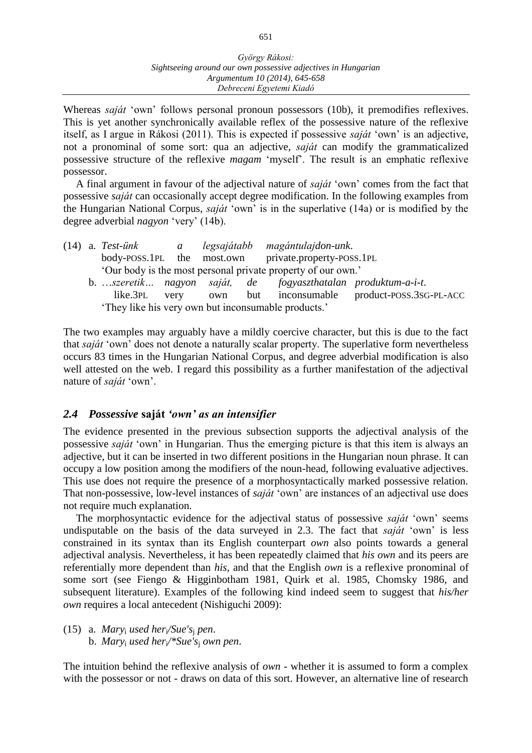Whereas *saját* 'own' follows personal pronoun possessors (10b), it premodifies reflexives. This is yet another synchronically available reflex of the possessive nature of the reflexive itself, as I argue in Rákosi (2011). This is expected if possessive *saját* 'own' is an adjective, not a pronominal of some sort: qua an adjective, *saját* can modify the grammaticalized possessive structure of the reflexive *magam* 'myself'. The result is an emphatic reflexive possessor.

A final argument in favour of the adjectival nature of *saját* 'own' comes from the fact that possessive *saját* can occasionally accept degree modification. In the following examples from the Hungarian National Corpus, *saját* 'own' is in the superlative (14a) or is modified by the degree adverbial *nagyon* 'very' (14b).

|                                                                     | $(14)$ a. Test-unk                                          | $\overline{a}$ |  |  | legsajátabb magántulajdon-unk.                                |  |  |  |  |
|---------------------------------------------------------------------|-------------------------------------------------------------|----------------|--|--|---------------------------------------------------------------|--|--|--|--|
|                                                                     |                                                             |                |  |  | body-POSS.1PL the most.own private.property-POSS.1PL          |  |  |  |  |
|                                                                     | Our body is the most personal private property of our own.' |                |  |  |                                                               |  |  |  |  |
|                                                                     |                                                             |                |  |  | b. szeretik nagyon saját, de fogyaszthatalan produktum-a-i-t. |  |  |  |  |
| but inconsumable product-POSS.3SG-PL-ACC<br>like.3pl<br>very<br>own |                                                             |                |  |  |                                                               |  |  |  |  |
| 'They like his very own but inconsumable products.'                 |                                                             |                |  |  |                                                               |  |  |  |  |

The two examples may arguably have a mildly coercive character, but this is due to the fact that *saját* 'own' does not denote a naturally scalar property. The superlative form nevertheless occurs 83 times in the Hungarian National Corpus, and degree adverbial modification is also well attested on the web. I regard this possibility as a further manifestation of the adjectival nature of *saját* 'own'.

#### *2.4 Possessive* **saját** *'own' as an intensifier*

The evidence presented in the previous subsection supports the adjectival analysis of the possessive *saját* 'own' in Hungarian. Thus the emerging picture is that this item is always an adjective, but it can be inserted in two different positions in the Hungarian noun phrase. It can occupy a low position among the modifiers of the noun-head, following evaluative adjectives. This use does not require the presence of a morphosyntactically marked possessive relation. That non-possessive, low-level instances of *saját* 'own' are instances of an adjectival use does not require much explanation.

The morphosyntactic evidence for the adjectival status of possessive *saját* 'own' seems undisputable on the basis of the data surveyed in 2.3. The fact that *saját* 'own' is less constrained in its syntax than its English counterpart *own* also points towards a general adjectival analysis. Nevertheless, it has been repeatedly claimed that *his own* and its peers are referentially more dependent than *his*, and that the English *own* is a reflexive pronominal of some sort (see Fiengo & Higginbotham 1981, Quirk et al. 1985, Chomsky 1986, and subsequent literature). Examples of the following kind indeed seem to suggest that *his/her own* requires a local antecedent (Nishiguchi 2009):

(15) a. *Mary*<sup>i</sup> *used her*i*/Sue's*<sup>j</sup> *pen*. b. *Mary*<sup>i</sup> *used her*i*/\*Sue's*<sup>j</sup> *own pen*.

The intuition behind the reflexive analysis of *own* - whether it is assumed to form a complex with the possessor or not - draws on data of this sort. However, an alternative line of research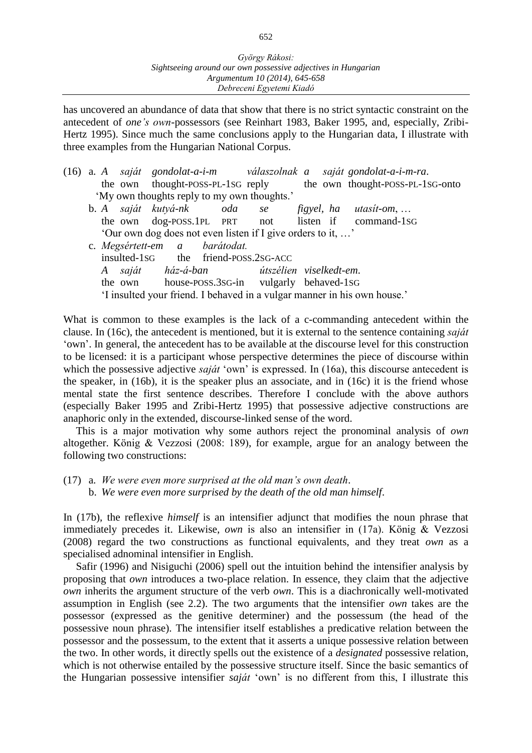has uncovered an abundance of data that show that there is no strict syntactic constraint on the antecedent of *one's own*-possessors (see Reinhart 1983, Baker 1995, and, especially, Zribi-Hertz 1995). Since much the same conclusions apply to the Hungarian data, I illustrate with three examples from the Hungarian National Corpus.

- (16) a. *A saját gondolat-a-i-m válaszolnak a saját gondolat-a-i-m-ra*. the own thought-POSS-PL-1SG reply the own thought-POSS-PL-1SG-onto 'My own thoughts reply to my own thoughts.'
	- b. *A saját kutyá-nk oda se figyel, ha utasít-om*, … the own dog-POSS.1PL PRT not listen if command-1SG 'Our own dog does not even listen if I give orders to it, …'
	- c. *Megsértett-em a barátodat.* insulted-1sG the friend-POSS.2SG-ACC *A saját ház-á-ban útszélien viselkedt-em*. the own house-POSS.3SG-in vulgarly behaved-1SG 'I insulted your friend. I behaved in a vulgar manner in his own house.'

What is common to these examples is the lack of a c-commanding antecedent within the clause. In (16c), the antecedent is mentioned, but it is external to the sentence containing *saját* 'own'. In general, the antecedent has to be available at the discourse level for this construction to be licensed: it is a participant whose perspective determines the piece of discourse within which the possessive adjective *saját* 'own' is expressed. In (16a), this discourse antecedent is the speaker, in (16b), it is the speaker plus an associate, and in (16c) it is the friend whose mental state the first sentence describes. Therefore I conclude with the above authors (especially Baker 1995 and Zribi-Hertz 1995) that possessive adjective constructions are anaphoric only in the extended, discourse-linked sense of the word.

This is a major motivation why some authors reject the pronominal analysis of *own* altogether. König & Vezzosi (2008: 189), for example, argue for an analogy between the following two constructions:

(17) a. *We were even more surprised at the old man's own death*. b. *We were even more surprised by the death of the old man himself*.

In (17b), the reflexive *himself* is an intensifier adjunct that modifies the noun phrase that immediately precedes it. Likewise, *own* is also an intensifier in (17a). König & Vezzosi (2008) regard the two constructions as functional equivalents, and they treat *own* as a specialised adnominal intensifier in English.

Safir (1996) and Nisiguchi (2006) spell out the intuition behind the intensifier analysis by proposing that *own* introduces a two-place relation. In essence, they claim that the adjective *own* inherits the argument structure of the verb *own*. This is a diachronically well-motivated assumption in English (see 2.2). The two arguments that the intensifier *own* takes are the possessor (expressed as the genitive determiner) and the possessum (the head of the possessive noun phrase). The intensifier itself establishes a predicative relation between the possessor and the possessum, to the extent that it asserts a unique possessive relation between the two. In other words, it directly spells out the existence of a *designated* possessive relation, which is not otherwise entailed by the possessive structure itself. Since the basic semantics of the Hungarian possessive intensifier *saját* 'own' is no different from this, I illustrate this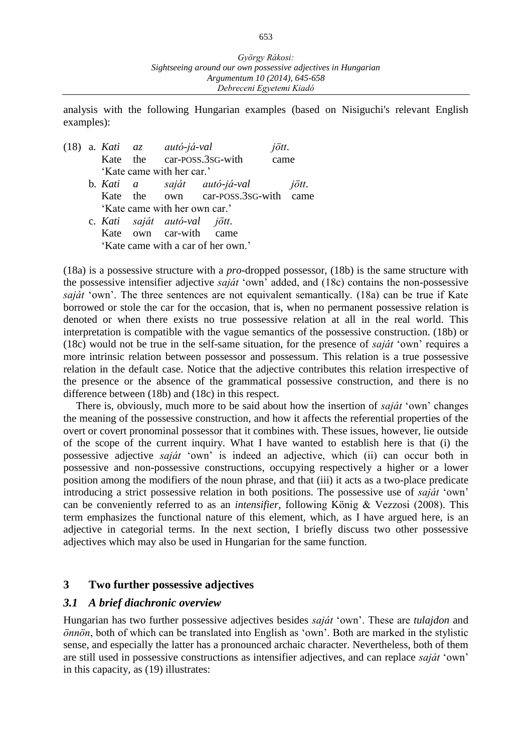analysis with the following Hungarian examples (based on Nisiguchi's relevant English examples):

|  | (18) a. Kati az autó-já-val |  |                               |                                     | jött. |       |  |
|--|-----------------------------|--|-------------------------------|-------------------------------------|-------|-------|--|
|  |                             |  |                               | Kate the car-POSS.3SG-with          | came  |       |  |
|  |                             |  | 'Kate came with her car.'     |                                     |       |       |  |
|  |                             |  |                               | b. Kati a saját autó-já-val         |       | jött. |  |
|  |                             |  |                               | Kate the own car-POSS.3SG-with came |       |       |  |
|  |                             |  | 'Kate came with her own car.' |                                     |       |       |  |
|  |                             |  | c. Kati saját autó-val jött.  |                                     |       |       |  |
|  |                             |  | Kate own car-with came        |                                     |       |       |  |
|  |                             |  |                               | 'Kate came with a car of her own.'  |       |       |  |

(18a) is a possessive structure with a *pro*-dropped possessor, (18b) is the same structure with the possessive intensifier adjective *saját* 'own' added, and (18c) contains the non-possessive *saját* 'own'. The three sentences are not equivalent semantically. (18a) can be true if Kate borrowed or stole the car for the occasion, that is, when no permanent possessive relation is denoted or when there exists no true possessive relation at all in the real world. This interpretation is compatible with the vague semantics of the possessive construction. (18b) or (18c) would not be true in the self-same situation, for the presence of *saját* 'own' requires a more intrinsic relation between possessor and possessum. This relation is a true possessive relation in the default case. Notice that the adjective contributes this relation irrespective of the presence or the absence of the grammatical possessive construction, and there is no difference between (18b) and (18c) in this respect.

There is, obviously, much more to be said about how the insertion of *saját* 'own' changes the meaning of the possessive construction, and how it affects the referential properties of the overt or covert pronominal possessor that it combines with. These issues, however, lie outside of the scope of the current inquiry. What I have wanted to establish here is that (i) the possessive adjective *saját* 'own' is indeed an adjective, which (ii) can occur both in possessive and non-possessive constructions, occupying respectively a higher or a lower position among the modifiers of the noun phrase, and that (iii) it acts as a two-place predicate introducing a strict possessive relation in both positions. The possessive use of *saját* 'own' can be conveniently referred to as an *intensifier*, following König & Vezzosi (2008). This term emphasizes the functional nature of this element, which, as I have argued here, is an adjective in categorial terms. In the next section, I briefly discuss two other possessive adjectives which may also be used in Hungarian for the same function.

#### **3 Two further possessive adjectives**

#### *3.1 A brief diachronic overview*

Hungarian has two further possessive adjectives besides *saját* 'own'. These are *tulajdon* and *önnön*, both of which can be translated into English as 'own'. Both are marked in the stylistic sense, and especially the latter has a pronounced archaic character. Nevertheless, both of them are still used in possessive constructions as intensifier adjectives, and can replace *saját* 'own' in this capacity, as (19) illustrates: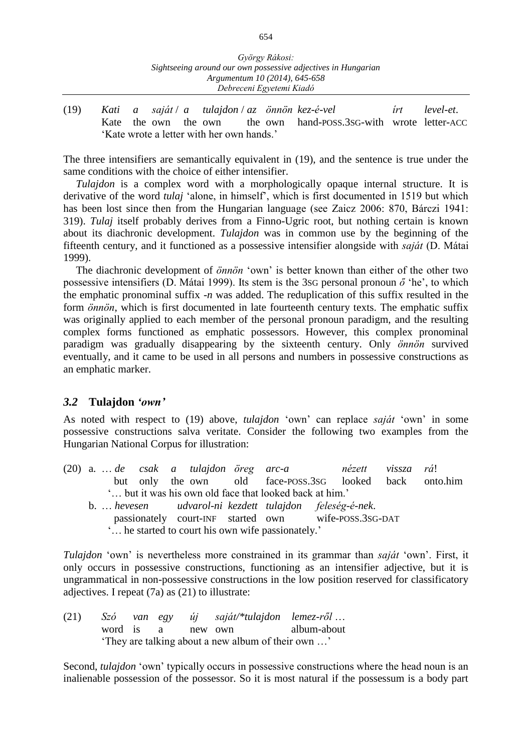(19) *Kati a saját* / *a tulajdon* / *az önnön kez-é-vel írt level-et*. Kate the own the own the own hand-POSS.3SG-with wrote letter-ACC 'Kate wrote a letter with her own hands.'

The three intensifiers are semantically equivalent in (19), and the sentence is true under the same conditions with the choice of either intensifier.

*Tulajdon* is a complex word with a morphologically opaque internal structure. It is derivative of the word *tulaj* 'alone, in himself', which is first documented in 1519 but which has been lost since then from the Hungarian language (see Zaicz 2006: 870, Bárczi 1941: 319). *Tulaj* itself probably derives from a Finno-Ugric root, but nothing certain is known about its diachronic development. *Tulajdon* was in common use by the beginning of the fifteenth century, and it functioned as a possessive intensifier alongside with *saját* (D. Mátai 1999).

The diachronic development of *önnön* 'own' is better known than either of the other two possessive intensifiers (D. Mátai 1999). Its stem is the 3SG personal pronoun *ő* 'he', to which the emphatic pronominal suffix -*n* was added. The reduplication of this suffix resulted in the form *önnön*, which is first documented in late fourteenth century texts. The emphatic suffix was originally applied to each member of the personal pronoun paradigm, and the resulting complex forms functioned as emphatic possessors. However, this complex pronominal paradigm was gradually disappearing by the sixteenth century. Only *önnön* survived eventually, and it came to be used in all persons and numbers in possessive constructions as an emphatic marker.

#### *3.2* **Tulajdon** *'own'*

As noted with respect to (19) above, *tulajdon* 'own' can replace *saját* 'own' in some possessive constructions salva veritate. Consider the following two examples from the Hungarian National Corpus for illustration:

(20) a. … *de csak a tulajdon öreg arc-a nézett vissza rá*! but only the own old face-POSS.3SG looked back onto.him '… but it was his own old face that looked back at him.' b. … *hevesen udvarol-ni kezdett tulajdon feleség-é-nek*. passionately court-INF started own wife-POSS.3SG-DAT '… he started to court his own wife passionately.'

*Tulajdon* 'own' is nevertheless more constrained in its grammar than *saját* 'own'. First, it only occurs in possessive constructions, functioning as an intensifier adjective, but it is ungrammatical in non-possessive constructions in the low position reserved for classificatory adjectives. I repeat (7a) as (21) to illustrate:

(21) *Szó van egy új saját/\*tulajdon lemez-ről* … word is a new own album-about 'They are talking about a new album of their own …'

Second, *tulajdon* 'own' typically occurs in possessive constructions where the head noun is an inalienable possession of the possessor. So it is most natural if the possessum is a body part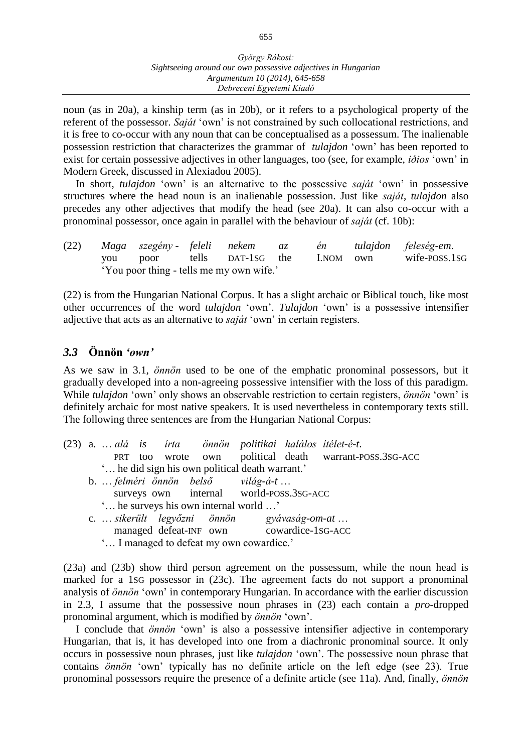noun (as in 20a), a kinship term (as in 20b), or it refers to a psychological property of the referent of the possessor. *Saját* 'own' is not constrained by such collocational restrictions, and it is free to co-occur with any noun that can be conceptualised as a possessum. The inalienable possession restriction that characterizes the grammar of *tulajdon* 'own' has been reported to exist for certain possessive adjectives in other languages, too (see, for example, *iðios* 'own' in Modern Greek, discussed in Alexiadou 2005).

In short, *tulajdon* 'own' is an alternative to the possessive *saját* 'own' in possessive structures where the head noun is an inalienable possession. Just like *saját*, *tulajdon* also precedes any other adjectives that modify the head (see 20a). It can also co-occur with a pronominal possessor, once again in parallel with the behaviour of *saját* (cf. 10b):

(22) *Maga szegény - feleli nekem az én tulajdon feleség-em*. you poor tells DAT-1SG the I.NOM own wife-POSS.1SG 'You poor thing - tells me my own wife.'

(22) is from the Hungarian National Corpus. It has a slight archaic or Biblical touch, like most other occurrences of the word *tulajdon* 'own'. *Tulajdon* 'own' is a possessive intensifier adjective that acts as an alternative to *saját* 'own' in certain registers.

## *3.3* **Önnön** *'own'*

As we saw in 3.1, *önnön* used to be one of the emphatic pronominal possessors, but it gradually developed into a non-agreeing possessive intensifier with the loss of this paradigm. While *tulajdon* 'own' only shows an observable restriction to certain registers, *önnön* 'own' is definitely archaic for most native speakers. It is used nevertheless in contemporary texts still. The following three sentences are from the Hungarian National Corpus:

|                                          |                                            |  |  |  |  |                                                 |  | (23) a.  alá is írta önnön politikai halálos ítélet-é-t. |  |  |
|------------------------------------------|--------------------------------------------|--|--|--|--|-------------------------------------------------|--|----------------------------------------------------------|--|--|
|                                          |                                            |  |  |  |  |                                                 |  | PRT too wrote own political death warrant-POSS.3SG-ACC   |  |  |
|                                          |                                            |  |  |  |  | " he did sign his own political death warrant." |  |                                                          |  |  |
|                                          |                                            |  |  |  |  | b.  felméri önnön belső világ-á-t               |  |                                                          |  |  |
|                                          |                                            |  |  |  |  | surveys own internal world-poss.3sG-ACC         |  |                                                          |  |  |
|                                          | ' he surveys his own internal world '      |  |  |  |  |                                                 |  |                                                          |  |  |
|                                          | c.  sikerült legyőzni önnön gyávaság-om-at |  |  |  |  |                                                 |  |                                                          |  |  |
|                                          |                                            |  |  |  |  | managed defeat-INF own cowardice-1SG-ACC        |  |                                                          |  |  |
| ' I managed to defeat my own cowardice.' |                                            |  |  |  |  |                                                 |  |                                                          |  |  |

(23a) and (23b) show third person agreement on the possessum, while the noun head is marked for a 1SG possessor in (23c). The agreement facts do not support a pronominal analysis of *önnön* 'own' in contemporary Hungarian. In accordance with the earlier discussion in 2.3, I assume that the possessive noun phrases in (23) each contain a *pro*-dropped pronominal argument, which is modified by *önnön* 'own'.

I conclude that *önnön* 'own' is also a possessive intensifier adjective in contemporary Hungarian, that is, it has developed into one from a diachronic pronominal source. It only occurs in possessive noun phrases, just like *tulajdon* 'own'. The possessive noun phrase that contains *önnön* 'own' typically has no definite article on the left edge (see 23). True pronominal possessors require the presence of a definite article (see 11a). And, finally, *önnön*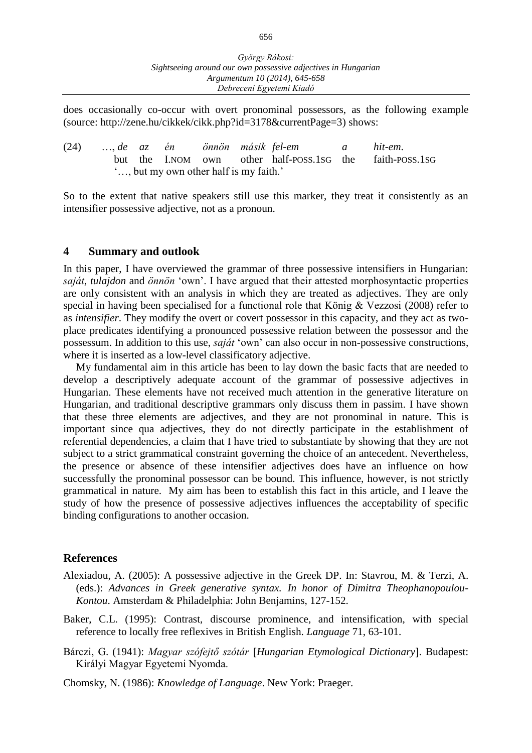does occasionally co-occur with overt pronominal possessors, as the following example (source: http://zene.hu/cikkek/cikk.php?id=3178&currentPage=3) shows:

(24) …, *de az én önnön másik fel-em a hit-em*. but the I.NOM own other half-POSS.1SG the faith-POSS.1SG '…, but my own other half is my faith.'

So to the extent that native speakers still use this marker, they treat it consistently as an intensifier possessive adjective, not as a pronoun.

#### **4 Summary and outlook**

In this paper, I have overviewed the grammar of three possessive intensifiers in Hungarian: *saját*, *tulajdon* and *önnön* 'own'. I have argued that their attested morphosyntactic properties are only consistent with an analysis in which they are treated as adjectives. They are only special in having been specialised for a functional role that König & Vezzosi (2008) refer to as *intensifier*. They modify the overt or covert possessor in this capacity, and they act as twoplace predicates identifying a pronounced possessive relation between the possessor and the possessum. In addition to this use, *saját* 'own' can also occur in non-possessive constructions, where it is inserted as a low-level classificatory adjective.

My fundamental aim in this article has been to lay down the basic facts that are needed to develop a descriptively adequate account of the grammar of possessive adjectives in Hungarian. These elements have not received much attention in the generative literature on Hungarian, and traditional descriptive grammars only discuss them in passim. I have shown that these three elements are adjectives, and they are not pronominal in nature. This is important since qua adjectives, they do not directly participate in the establishment of referential dependencies, a claim that I have tried to substantiate by showing that they are not subject to a strict grammatical constraint governing the choice of an antecedent. Nevertheless, the presence or absence of these intensifier adjectives does have an influence on how successfully the pronominal possessor can be bound. This influence, however, is not strictly grammatical in nature. My aim has been to establish this fact in this article, and I leave the study of how the presence of possessive adjectives influences the acceptability of specific binding configurations to another occasion.

#### **References**

- Alexiadou, A. (2005): A possessive adjective in the Greek DP. In: Stavrou, M. & Terzi, A. (eds.): *Advances in Greek generative syntax. In honor of Dimitra Theophanopoulou-Kontou*. Amsterdam & Philadelphia: John Benjamins, 127-152.
- Baker, C.L. (1995): Contrast, discourse prominence, and intensification, with special reference to locally free reflexives in British English. *Language* 71, 63-101.
- Bárczi, G. (1941): *Magyar szófejtő szótár Hungarian Etymological Dictionary*. Budapest: Királyi Magyar Egyetemi Nyomda.

Chomsky, N. (1986): *Knowledge of Language*. New York: Praeger.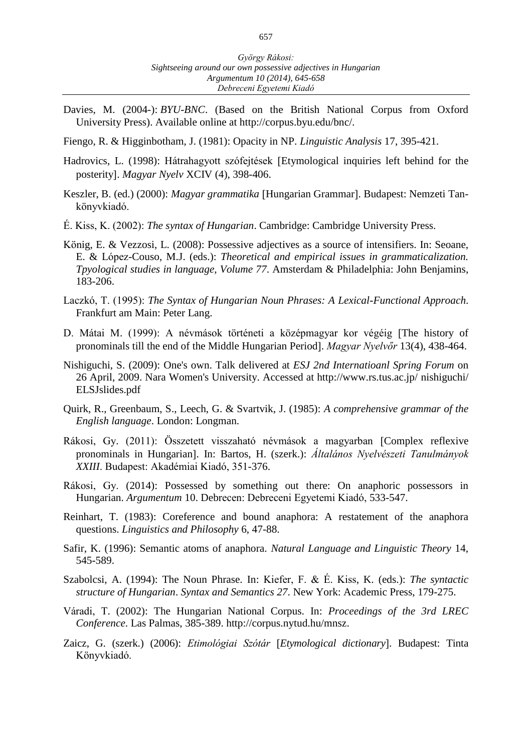- Davies, M. (2004-): *BYU-BNC*. (Based on the British National Corpus from Oxford University Press). Available online at http://corpus.byu.edu/bnc/.
- Fiengo, R. & Higginbotham, J. (1981): Opacity in NP. *Linguistic Analysis* 17, 395-421.
- Hadrovics, L. (1998): Hátrahagyott szófejtések [Etymological inquiries left behind for the posterity. *Magyar Nyelv* XCIV (4), 398-406.
- Keszler, B. (ed.) (2000): *Magyar grammatika* [Hungarian Grammar]. Budapest: Nemzeti Tankönyvkiadó.
- É. Kiss, K. (2002): *The syntax of Hungarian*. Cambridge: Cambridge University Press.
- König, E. & Vezzosi, L. (2008): Possessive adjectives as a source of intensifiers. In: Seoane, E. & López-Couso, M.J. (eds.): *Theoretical and empirical issues in grammaticalization. Tpyological studies in language, Volume 77*. Amsterdam & Philadelphia: John Benjamins, 183-206.
- Laczkó, T. (1995): *The Syntax of Hungarian Noun Phrases: A Lexical-Functional Approach*. Frankfurt am Main: Peter Lang.
- D. Mátai M. (1999): A névmások történeti a középmagyar kor végéig The history of pronominals till the end of the Middle Hungarian Period. *Magyar Nyelvőr* 13(4), 438-464.
- Nishiguchi, S. (2009): One's own. Talk delivered at *ESJ 2nd Internatioanl Spring Forum* on 26 April, 2009. Nara Women's University. Accessed at http://www.rs.tus.ac.jp/ nishiguchi/ ELSJslides.pdf
- Quirk, R., Greenbaum, S., Leech, G. & Svartvik, J. (1985): *A comprehensive grammar of the English language*. London: Longman.
- Rákosi, Gy. (2011): Összetett visszaható névmások a magyarban Complex reflexive pronominals in Hungarian]. In: Bartos, H. (szerk.): Általános Nyelvészeti Tanulmányok *XXIII*. Budapest: Akadémiai Kiadó, 351-376.
- Rákosi, Gy. (2014): Possessed by something out there: On anaphoric possessors in Hungarian. *Argumentum* 10. Debrecen: Debreceni Egyetemi Kiadó, 533-547.
- Reinhart, T. (1983): Coreference and bound anaphora: A restatement of the anaphora questions. *Linguistics and Philosophy* 6, 47-88.
- Safir, K. (1996): Semantic atoms of anaphora. *Natural Language and Linguistic Theory* 14, 545-589.
- Szabolcsi, A. (1994): The Noun Phrase. In: Kiefer, F. & É. Kiss, K. (eds.): *The syntactic structure of Hungarian*. *Syntax and Semantics 27*. New York: Academic Press, 179-275.
- Váradi, T. (2002): The Hungarian National Corpus. In: *Proceedings of the 3rd LREC Conference*. Las Palmas, 385-389. http://corpus.nytud.hu/mnsz.
- Zaicz, G. (szerk.) (2006): *Etimológiai Szótár Etymological dictionary*. Budapest: Tinta Könyvkiadó.